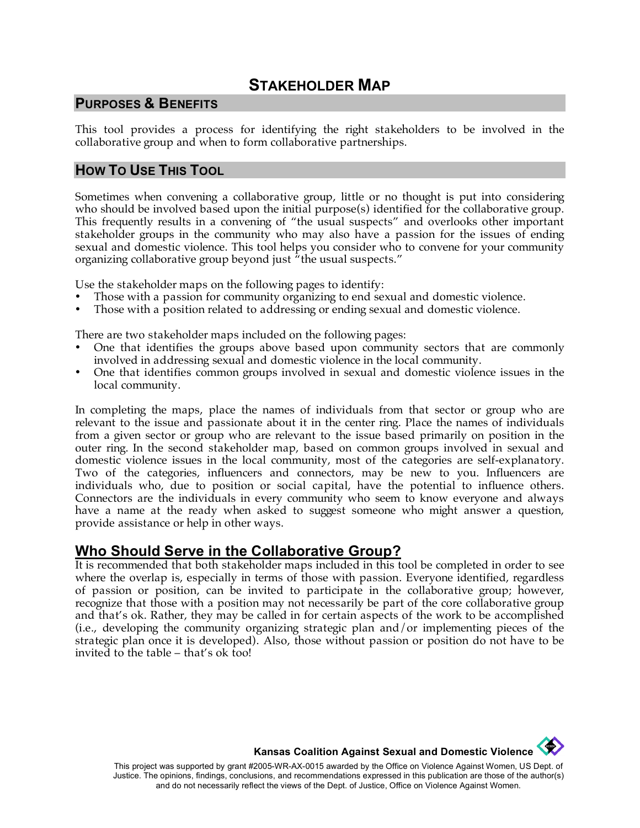# **STAKEHOLDER MAP**

#### **PURPOSES & BENEFITS**

This tool provides a process for identifying the right stakeholders to be involved in the collaborative group and when to form collaborative partnerships.

## **HOW TO USE THIS TOOL**

Sometimes when convening a collaborative group, little or no thought is put into considering who should be involved based upon the initial purpose(s) identified for the collaborative group. This frequently results in a convening of "the usual suspects" and overlooks other important stakeholder groups in the community who may also have a passion for the issues of ending sexual and domestic violence. This tool helps you consider who to convene for your community organizing collaborative group beyond just "the usual suspects."

Use the stakeholder maps on the following pages to identify:

- Those with a passion for community organizing to end sexual and domestic violence.
- Those with a position related to addressing or ending sexual and domestic violence.

There are two stakeholder maps included on the following pages:

- One that identifies the groups above based upon community sectors that are commonly involved in addressing sexual and domestic violence in the local community.
- One that identifies common groups involved in sexual and domestic violence issues in the local community.

In completing the maps, place the names of individuals from that sector or group who are relevant to the issue and passionate about it in the center ring. Place the names of individuals from a given sector or group who are relevant to the issue based primarily on position in the outer ring. In the second stakeholder map, based on common groups involved in sexual and domestic violence issues in the local community, most of the categories are self-explanatory. Two of the categories, influencers and connectors, may be new to you. Influencers are individuals who, due to position or social capital, have the potential to influence others. Connectors are the individuals in every community who seem to know everyone and always have a name at the ready when asked to suggest someone who might answer a question, provide assistance or help in other ways.

## **Who Should Serve in the Collaborative Group?**

It is recommended that both stakeholder maps included in this tool be completed in order to see where the overlap is, especially in terms of those with passion. Everyone identified, regardless of passion or position, can be invited to participate in the collaborative group; however, recognize that those with a position may not necessarily be part of the core collaborative group and that's ok. Rather, they may be called in for certain aspects of the work to be accomplished (i.e., developing the community organizing strategic plan and/or implementing pieces of the strategic plan once it is developed). Also, those without passion or position do not have to be invited to the table – that's ok too!

**Kansas Coalition Against Sexual and Domestic Violence** 

**Contract Contract** 

This project was supported by grant #2005-WR-AX-0015 awarded by the Office on Violence Against Women, US Dept. of Justice. The opinions, findings, conclusions, and recommendations expressed in this publication are those of the author(s) and do not necessarily reflect the views of the Dept. of Justice, Office on Violence Against Women.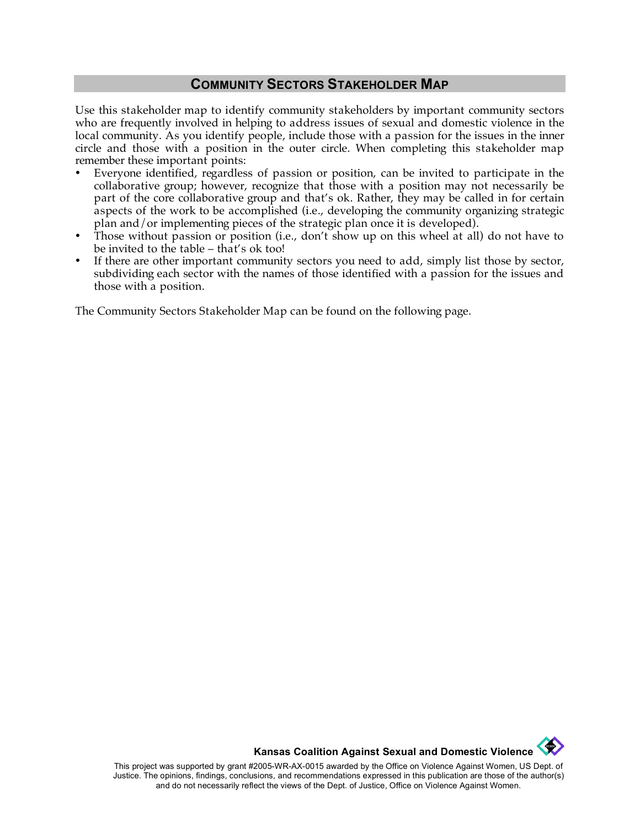#### **COMMUNITY SECTORS STAKEHOLDER MAP**

Use this stakeholder map to identify community stakeholders by important community sectors who are frequently involved in helping to address issues of sexual and domestic violence in the local community. As you identify people, include those with a passion for the issues in the inner circle and those with a position in the outer circle. When completing this stakeholder map remember these important points:

- Everyone identified, regardless of passion or position, can be invited to participate in the collaborative group; however, recognize that those with a position may not necessarily be part of the core collaborative group and that's ok. Rather, they may be called in for certain aspects of the work to be accomplished (i.e., developing the community organizing strategic plan and/or implementing pieces of the strategic plan once it is developed).
- Those without passion or position (i.e., don't show up on this wheel at all) do not have to be invited to the table – that's ok too!
- If there are other important community sectors you need to add, simply list those by sector, subdividing each sector with the names of those identified with a passion for the issues and those with a position.

The Community Sectors Stakeholder Map can be found on the following page.

**Kansas Coalition Against Sexual and Domestic Violence** 

This project was supported by grant #2005-WR-AX-0015 awarded by the Office on Violence Against Women, US Dept. of Justice. The opinions, findings, conclusions, and recommendations expressed in this publication are those of the author(s) and do not necessarily reflect the views of the Dept. of Justice, Office on Violence Against Women.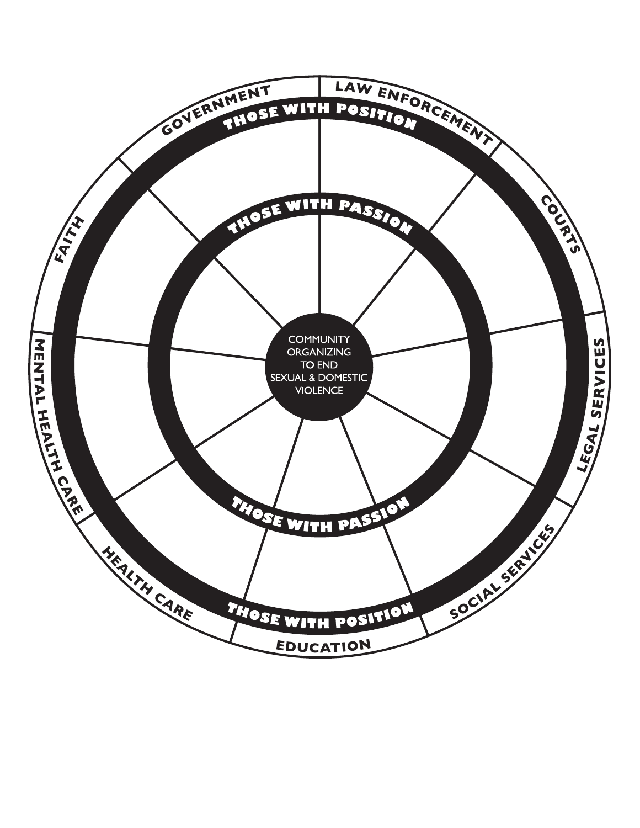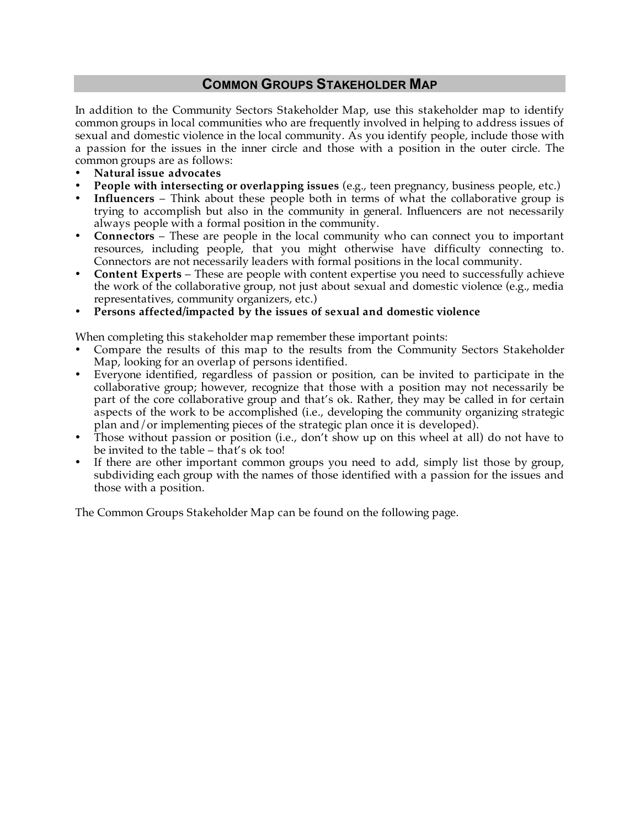### **COMMON GROUPS STAKEHOLDER MAP**

In addition to the Community Sectors Stakeholder Map, use this stakeholder map to identify common groups in local communities who are frequently involved in helping to address issues of sexual and domestic violence in the local community. As you identify people, include those with a passion for the issues in the inner circle and those with a position in the outer circle. The common groups are as follows:

- **Natural issue advocates**
- **People with intersecting or overlapping issues** (e.g., teen pregnancy, business people, etc.)
- **Influencers**  Think about these people both in terms of what the collaborative group is trying to accomplish but also in the community in general. Influencers are not necessarily always people with a formal position in the community.
- **Connectors** These are people in the local community who can connect you to important resources, including people, that you might otherwise have difficulty connecting to. Connectors are not necessarily leaders with formal positions in the local community.
- **Content Experts** These are people with content expertise you need to successfully achieve the work of the collaborative group, not just about sexual and domestic violence (e.g., media representatives, community organizers, etc.)
- **Persons affected/impacted by the issues of sexual and domestic violence**

When completing this stakeholder map remember these important points:

- Compare the results of this map to the results from the Community Sectors Stakeholder Map, looking for an overlap of persons identified.
- Everyone identified, regardless of passion or position, can be invited to participate in the collaborative group; however, recognize that those with a position may not necessarily be part of the core collaborative group and that's ok. Rather, they may be called in for certain aspects of the work to be accomplished (i.e., developing the community organizing strategic plan and/or implementing pieces of the strategic plan once it is developed).
- Those without passion or position (i.e., don't show up on this wheel at all) do not have to be invited to the table – that's ok too!
- If there are other important common groups you need to add, simply list those by group, subdividing each group with the names of those identified with a passion for the issues and those with a position.

The Common Groups Stakeholder Map can be found on the following page.